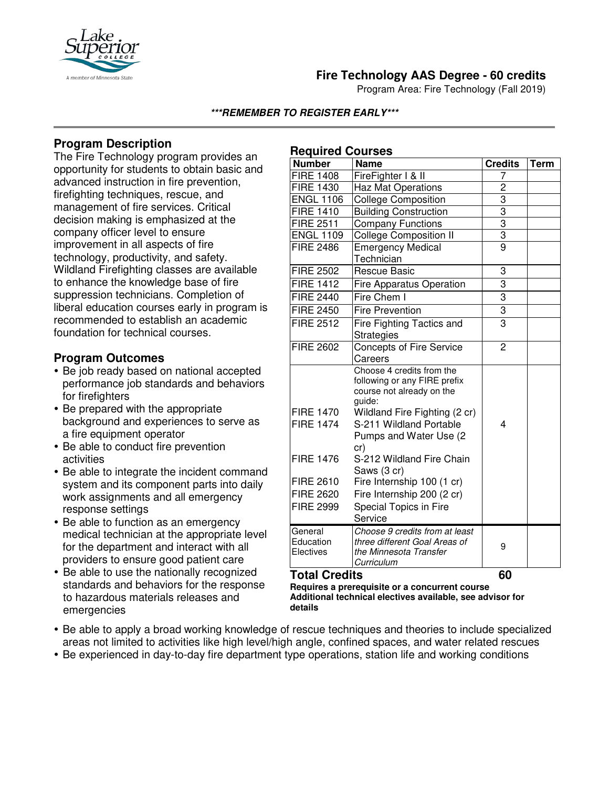

# **Fire Technology AAS Degree - 60 credits**

Program Area: Fire Technology (Fall 2019)

### **\*\*\*REMEMBER TO REGISTER EARLY\*\*\***

**Required Courses**

## **Program Description**

The Fire Technology program provides an opportunity for students to obtain basic and advanced instruction in fire prevention, firefighting techniques, rescue, and management of fire services. Critical decision making is emphasized at the company officer level to ensure improvement in all aspects of fire technology, productivity, and safety. Wildland Firefighting classes are available to enhance the knowledge base of fire suppression technicians. Completion of liberal education courses early in program is recommended to establish an academic foundation for technical courses.

## **Program Outcomes**

- Be job ready based on national accepted performance job standards and behaviors for firefighters
- Be prepared with the appropriate background and experiences to serve as a fire equipment operator
- Be able to conduct fire prevention activities
- Be able to integrate the incident command system and its component parts into daily work assignments and all emergency response settings
- Be able to function as an emergency medical technician at the appropriate level for the department and interact with all providers to ensure good patient care
- Be able to use the nationally recognized standards and behaviors for the response to hazardous materials releases and emergencies

| <b>FIRE 1408</b><br><b>FIRE 1430</b><br><b>ENGL 1106</b>                                                             | FireFighter I & II<br><b>Haz Mat Operations</b><br><b>College Composition</b><br><b>Building Construction</b><br>Company Functions                                                                                                                                                                                                          | 7<br>2<br>$\overline{3}$<br>$\overline{3}$ |  |
|----------------------------------------------------------------------------------------------------------------------|---------------------------------------------------------------------------------------------------------------------------------------------------------------------------------------------------------------------------------------------------------------------------------------------------------------------------------------------|--------------------------------------------|--|
|                                                                                                                      |                                                                                                                                                                                                                                                                                                                                             |                                            |  |
|                                                                                                                      |                                                                                                                                                                                                                                                                                                                                             |                                            |  |
|                                                                                                                      |                                                                                                                                                                                                                                                                                                                                             |                                            |  |
| <b>FIRE 1410</b>                                                                                                     |                                                                                                                                                                                                                                                                                                                                             |                                            |  |
| <b>FIRE 2511</b>                                                                                                     |                                                                                                                                                                                                                                                                                                                                             | $\overline{3}$                             |  |
| <b>ENGL 1109</b>                                                                                                     | <b>College Composition II</b>                                                                                                                                                                                                                                                                                                               | $\overline{3}$                             |  |
| <b>FIRE 2486</b>                                                                                                     | <b>Emergency Medical</b><br>Technician                                                                                                                                                                                                                                                                                                      | $\overline{9}$                             |  |
| <b>FIRE 2502</b>                                                                                                     | <b>Rescue Basic</b>                                                                                                                                                                                                                                                                                                                         | 3                                          |  |
| <b>FIRE 1412</b>                                                                                                     | <b>Fire Apparatus Operation</b>                                                                                                                                                                                                                                                                                                             | $\overline{3}$                             |  |
| <b>FIRE 2440</b>                                                                                                     | Fire Chem I                                                                                                                                                                                                                                                                                                                                 | $\overline{3}$                             |  |
| <b>FIRE 2450</b>                                                                                                     | <b>Fire Prevention</b>                                                                                                                                                                                                                                                                                                                      | $\overline{3}$                             |  |
| <b>FIRE 2512</b>                                                                                                     | Fire Fighting Tactics and<br><b>Strategies</b>                                                                                                                                                                                                                                                                                              | 3                                          |  |
| <b>FIRE 2602</b>                                                                                                     | <b>Concepts of Fire Service</b><br>Careers                                                                                                                                                                                                                                                                                                  | 2                                          |  |
| <b>FIRE 1470</b><br><b>FIRE 1474</b><br><b>FIRE 1476</b><br><b>FIRE 2610</b><br><b>FIRE 2620</b><br><b>FIRE 2999</b> | Choose 4 credits from the<br>following or any FIRE prefix<br>course not already on the<br>guide:<br>Wildland Fire Fighting (2 cr)<br>S-211 Wildland Portable<br>Pumps and Water Use (2)<br>cr)<br>S-212 Wildland Fire Chain<br>Saws (3 cr)<br>Fire Internship 100 (1 cr)<br>Fire Internship 200 (2 cr)<br>Special Topics in Fire<br>Service | 4                                          |  |
| General<br>Education<br>Electives<br>÷.,                                                                             | Choose 9 credits from at least<br>three different Goal Areas of<br>the Minnesota Transfer<br>Curriculum<br>                                                                                                                                                                                                                                 | 9                                          |  |

#### **Total Credits 60**

**Requires a prerequisite or a concurrent course Additional technical electives available, see advisor for details**

- Be able to apply a broad working knowledge of rescue techniques and theories to include specialized areas not limited to activities like high level/high angle, confined spaces, and water related rescues
- Be experienced in day-to-day fire department type operations, station life and working conditions